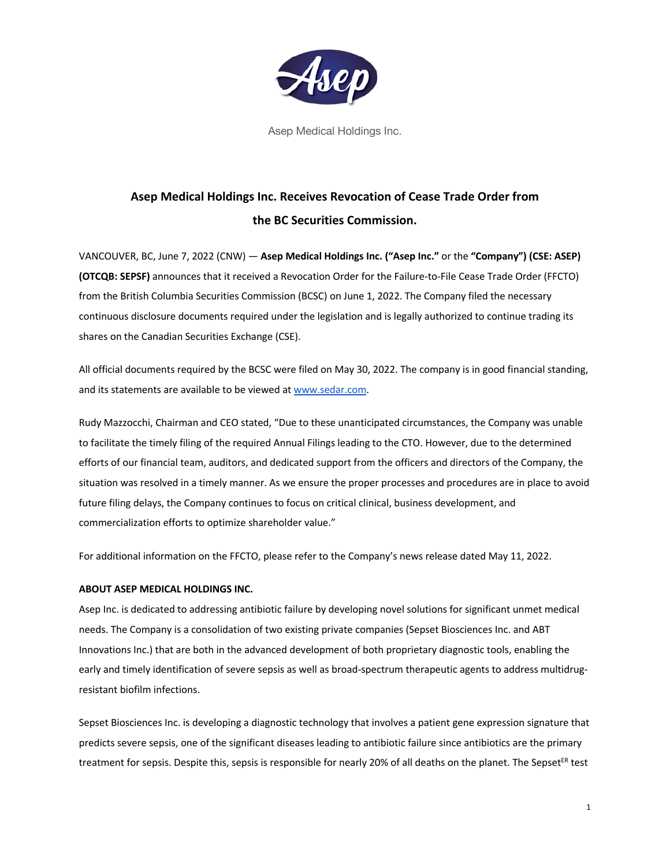

Asep Medical Holdings Inc.

## **Asep Medical Holdings Inc. Receives Revocation of Cease Trade Order from the BC Securities Commission.**

VANCOUVER, BC, June 7, 2022 (CNW) — **Asep Medical Holdings Inc. ("Asep Inc."** or the **"Company") (CSE: ASEP) (OTCQB: SEPSF)** announces that it received a Revocation Order for the Failure-to-File Cease Trade Order (FFCTO) from the British Columbia Securities Commission (BCSC) on June 1, 2022. The Company filed the necessary continuous disclosure documents required under the legislation and is legally authorized to continue trading its shares on the Canadian Securities Exchange (CSE).

All official documents required by the BCSC were filed on May 30, 2022. The company is in good financial standing, and its statements are available to be viewed at www.sedar.com.

Rudy Mazzocchi, Chairman and CEO stated, "Due to these unanticipated circumstances, the Company was unable to facilitate the timely filing of the required Annual Filings leading to the CTO. However, due to the determined efforts of our financial team, auditors, and dedicated support from the officers and directors of the Company, the situation was resolved in a timely manner. As we ensure the proper processes and procedures are in place to avoid future filing delays, the Company continues to focus on critical clinical, business development, and commercialization efforts to optimize shareholder value."

For additional information on the FFCTO, please refer to the Company's news release dated May 11, 2022.

## **ABOUT ASEP MEDICAL HOLDINGS INC.**

Asep Inc. is dedicated to addressing antibiotic failure by developing novel solutions for significant unmet medical needs. The Company is a consolidation of two existing private companies (Sepset Biosciences Inc. and ABT Innovations Inc.) that are both in the advanced development of both proprietary diagnostic tools, enabling the early and timely identification of severe sepsis as well as broad-spectrum therapeutic agents to address multidrugresistant biofilm infections.

Sepset Biosciences Inc. is developing a diagnostic technology that involves a patient gene expression signature that predicts severe sepsis, one of the significant diseases leading to antibiotic failure since antibiotics are the primary treatment for sepsis. Despite this, sepsis is responsible for nearly 20% of all deaths on the planet. The Sepset<sup>ER</sup> test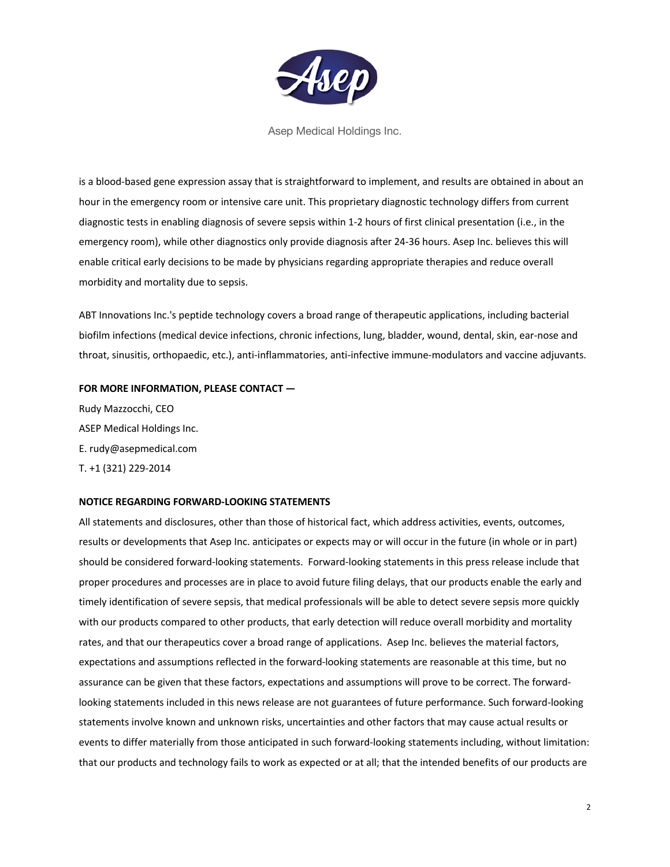

Asep Medical Holdings Inc.

is a blood-based gene expression assay that is straightforward to implement, and results are obtained in about an hour in the emergency room or intensive care unit. This proprietary diagnostic technology differs from current diagnostic tests in enabling diagnosis of severe sepsis within 1-2 hours of first clinical presentation (i.e., in the emergency room), while other diagnostics only provide diagnosis after 24-36 hours. Asep Inc. believes this will enable critical early decisions to be made by physicians regarding appropriate therapies and reduce overall morbidity and mortality due to sepsis.

ABT Innovations Inc.'s peptide technology covers a broad range of therapeutic applications, including bacterial biofilm infections (medical device infections, chronic infections, lung, bladder, wound, dental, skin, ear-nose and throat, sinusitis, orthopaedic, etc.), anti-inflammatories, anti-infective immune-modulators and vaccine adjuvants.

## **FOR MORE INFORMATION, PLEASE CONTACT —**

Rudy Mazzocchi, CEO ASEP Medical Holdings Inc. E. rudy@asepmedical.com T. +1 (321) 229-2014

## **NOTICE REGARDING FORWARD-LOOKING STATEMENTS**

All statements and disclosures, other than those of historical fact, which address activities, events, outcomes, results or developments that Asep Inc. anticipates or expects may or will occur in the future (in whole or in part) should be considered forward-looking statements. Forward-looking statements in this press release include that proper procedures and processes are in place to avoid future filing delays, that our products enable the early and timely identification of severe sepsis, that medical professionals will be able to detect severe sepsis more quickly with our products compared to other products, that early detection will reduce overall morbidity and mortality rates, and that our therapeutics cover a broad range of applications. Asep Inc. believes the material factors, expectations and assumptions reflected in the forward-looking statements are reasonable at this time, but no assurance can be given that these factors, expectations and assumptions will prove to be correct. The forwardlooking statements included in this news release are not guarantees of future performance. Such forward-looking statements involve known and unknown risks, uncertainties and other factors that may cause actual results or events to differ materially from those anticipated in such forward-looking statements including, without limitation: that our products and technology fails to work as expected or at all; that the intended benefits of our products are